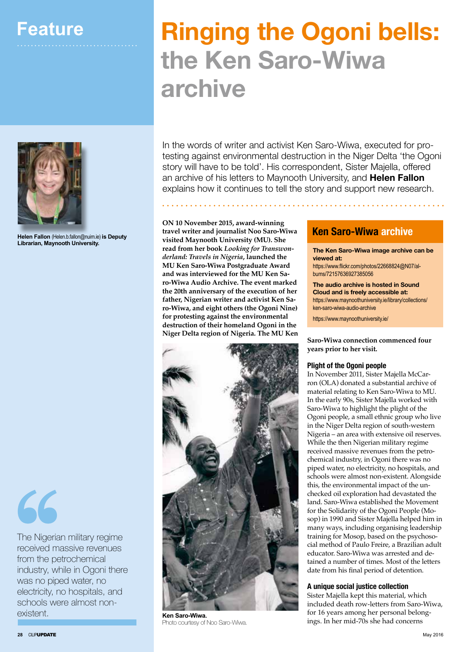

**Helen Fallon** (Helen.b.fallon@nuim.ie) **is Deputy Librarian, Maynooth University.** 

66

The Nigerian military regime received massive revenues from the petrochemical industry, while in Ogoni there was no piped water, no electricity, no hospitals, and schools were almost nonexistent. **Ken Saro-Wiwa.**

# **Ringing the Ogoni bells: the Ken Saro-Wiwa archive**

In the words of writer and activist Ken Saro-Wiwa, executed for protesting against environmental destruction in the Niger Delta 'the Ogoni story will have to be told'. His correspondent, Sister Majella, offered an archive of his letters to Maynooth University, and **Helen Fallon** explains how it continues to tell the story and support new research.

**ON 10 November 2015, award-winning travel writer and journalist Noo Saro-Wiwa visited Maynooth University (MU). She read from her book** *Looking for Transwonderland: Travels in Nigeria***, launched the MU Ken Saro-Wiwa Postgraduate Award and was interviewed for the MU Ken Saro-Wiwa Audio Archive. The event marked the 20th anniversary of the execution of her father, Nigerian writer and activist Ken Saro-Wiwa, and eight others (the Ogoni Nine) for protesting against the environmental destruction of their homeland Ogoni in the Niger Delta region of Nigeria. The MU Ken** 



Photo courtesy of Noo Saro-Wiwa.

## **Ken Saro-Wiwa archive**

**The Ken Saro-Wiwa image archive can be viewed at:**

https://www.flickr.com/photos/22668824@N07/albums/72157636927385056

**The audio archive is hosted in Sound Cloud and is freely accessible at:** https://www.maynoothuniversity.ie/library/collections/ ken-saro-wiwa-audio-archive

https://www.maynoothuniversity.ie/

**Saro-Wiwa connection commenced four years prior to her visit.**

## **Plight of the Ogoni people**

In November 2011, Sister Majella McCarron (OLA) donated a substantial archive of material relating to Ken Saro-Wiwa to MU. In the early 90s, Sister Majella worked with Saro-Wiwa to highlight the plight of the Ogoni people, a small ethnic group who live in the Niger Delta region of south-western Nigeria – an area with extensive oil reserves. While the then Nigerian military regime received massive revenues from the petrochemical industry, in Ogoni there was no piped water, no electricity, no hospitals, and schools were almost non-existent. Alongside this, the environmental impact of the unchecked oil exploration had devastated the land. Saro-Wiwa established the Movement for the Solidarity of the Ogoni People (Mosop) in 1990 and Sister Majella helped him in many ways, including organising leadership training for Mosop, based on the psychosocial method of Paulo Freire, a Brazilian adult educator. Saro-Wiwa was arrested and detained a number of times. Most of the letters date from his final period of detention.

## **A unique social justice collection**

Sister Majella kept this material, which included death row-letters from Saro-Wiwa, for 16 years among her personal belongings. In her mid-70s she had concerns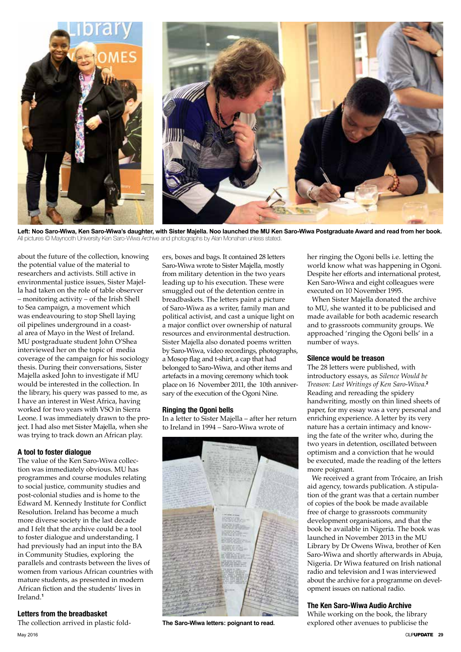

**Left: Noo Saro-Wiwa, Ken Saro-Wiwa's daughter, with Sister Majella. Noo launched the MU Ken Saro-Wiwa Postgraduate Award and read from her book.** All pictures © Maynooth University Ken Saro-Wiwa Archive and photographs by Alan Monahan unless stated.

about the future of the collection, knowing the potential value of the material to researchers and activists. Still active in environmental justice issues, Sister Majella had taken on the role of table observer – monitoring activity – of the Irish Shell to Sea campaign, a movement which was endeavouring to stop Shell laying oil pipelines underground in a coastal area of Mayo in the West of Ireland. MU postgraduate student John O'Shea interviewed her on the topic of media coverage of the campaign for his sociology thesis. During their conversations, Sister Majella asked John to investigate if MU would be interested in the collection. In the library, his query was passed to me, as I have an interest in West Africa, having worked for two years with VSO in Sierra Leone. I was immediately drawn to the project. I had also met Sister Majella, when she was trying to track down an African play.

## **A tool to foster dialogue**

The value of the Ken Saro-Wiwa collection was immediately obvious. MU has programmes and course modules relating to social justice, community studies and post-colonial studies and is home to the Edward M. Kennedy Institute for Conflict Resolution. Ireland has become a much more diverse society in the last decade and I felt that the archive could be a tool to foster dialogue and understanding. I had previously had an input into the BA in Community Studies, exploring the parallels and contrasts between the lives of women from various African countries with mature students, as presented in modern African fiction and the students' lives in Ireland.**<sup>1</sup>**

## **Letters from the breadbasket**

The collection arrived in plastic fold-May 2016 CILIPUPDATE **29**

ers, boxes and bags. It contained 28 letters Saro-Wiwa wrote to Sister Majella, mostly from military detention in the two years leading up to his execution. These were smuggled out of the detention centre in breadbaskets. The letters paint a picture of Saro-Wiwa as a writer, family man and political activist, and cast a unique light on a major conflict over ownership of natural resources and environmental destruction. Sister Majella also donated poems written by Saro-Wiwa, video recordings, photographs, a Mosop flag and t-shirt, a cap that had belonged to Saro-Wiwa, and other items and artefacts in a moving ceremony which took place on 16 November 2011, the 10th anniversary of the execution of the Ogoni Nine.

## **Ringing the Ogoni bells**

In a letter to Sister Majella – after her return to Ireland in 1994 – Saro-Wiwa wrote of



**The Saro-Wiwa letters: poignant to read.**

her ringing the Ogoni bells i.e. letting the world know what was happening in Ogoni. Despite her efforts and international protest, Ken Saro-Wiwa and eight colleagues were executed on 10 November 1995.

When Sister Majella donated the archive to MU, she wanted it to be publicised and made available for both academic research and to grassroots community groups. We approached 'ringing the Ogoni bells' in a number of ways.

## **Silence would be treason**

The 28 letters were published, with introductory essays, as *Silence Would be Treason: Last Writings of Ken Saro-Wiwa*. **2** Reading and rereading the spidery handwriting, mostly on thin lined sheets of paper, for my essay was a very personal and enriching experience. A letter by its very nature has a certain intimacy and knowing the fate of the writer who, during the two years in detention, oscillated between optimism and a conviction that he would be executed, made the reading of the letters more poignant.

We received a grant from Trócaire, an Irish aid agency, towards publication. A stipulation of the grant was that a certain number of copies of the book be made available free of charge to grassroots community development organisations, and that the book be available in Nigeria. The book was launched in November 2013 in the MU Library by Dr Owens Wiwa, brother of Ken Saro-Wiwa and shortly afterwards in Abuja, Nigeria. Dr Wiwa featured on Irish national radio and television and I was interviewed about the archive for a programme on development issues on national radio.

## **The Ken Saro-Wiwa Audio Archive**

While working on the book, the library explored other avenues to publicise the